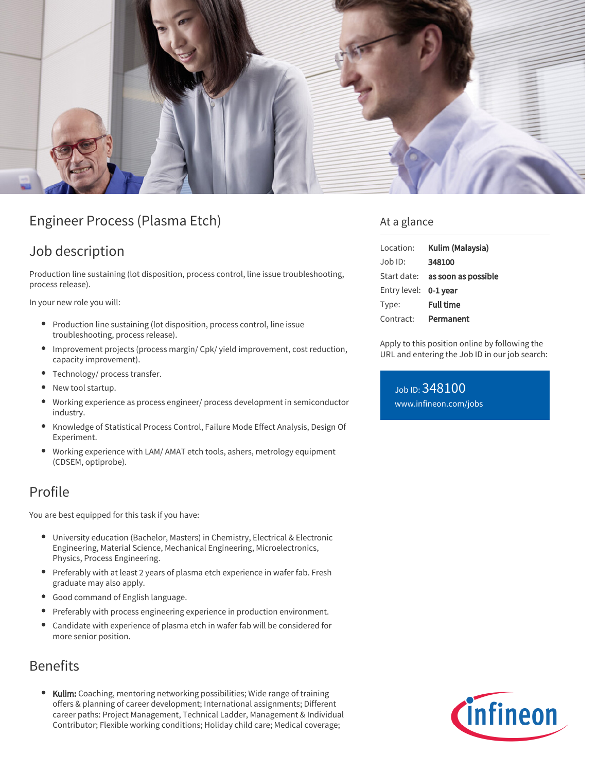

# Engineer Process (Plasma Etch)

## Job description

Production line sustaining (lot disposition, process control, line issue troubleshooting, process release).

In your new role you will:

- Production line sustaining (lot disposition, process control, line issue troubleshooting, process release).
- $\bullet$ Improvement projects (process margin/ Cpk/ yield improvement, cost reduction, capacity improvement).
- Technology/ process transfer.
- New tool startup. ۰
- Working experience as process engineer/ process development in semiconductor industry.
- Knowledge of Statistical Process Control, Failure Mode Effect Analysis, Design Of Experiment.
- Working experience with LAM/ AMAT etch tools, ashers, metrology equipment (CDSEM, optiprobe).

#### Profile

You are best equipped for this task if you have:

- University education (Bachelor, Masters) in Chemistry, Electrical & Electronic Engineering, Material Science, Mechanical Engineering, Microelectronics, Physics, Process Engineering.
- Preferably with at least 2 years of plasma etch experience in wafer fab. Fresh graduate may also apply.
- Good command of English language.
- Preferably with process engineering experience in production environment.
- $\bullet$ Candidate with experience of plasma etch in wafer fab will be considered for more senior position.

## Benefits

• Kulim: Coaching, mentoring networking possibilities; Wide range of training offers & planning of career development; International assignments; Different career paths: Project Management, Technical Ladder, Management & Individual Contributor; Flexible working conditions; Holiday child care; Medical coverage;

#### At a glance

| Location:             | Kulim (Malaysia)                |
|-----------------------|---------------------------------|
| $Job$ ID:             | 348100                          |
|                       | Start date: as soon as possible |
| Entry level: 0-1 year |                                 |
| Type:                 | <b>Full time</b>                |
| Contract:             | Permanent                       |

Apply to this position online by following the URL and entering the Job ID in our job search:

Job ID: 348100 [www.infineon.com/jobs](https://www.infineon.com/jobs)